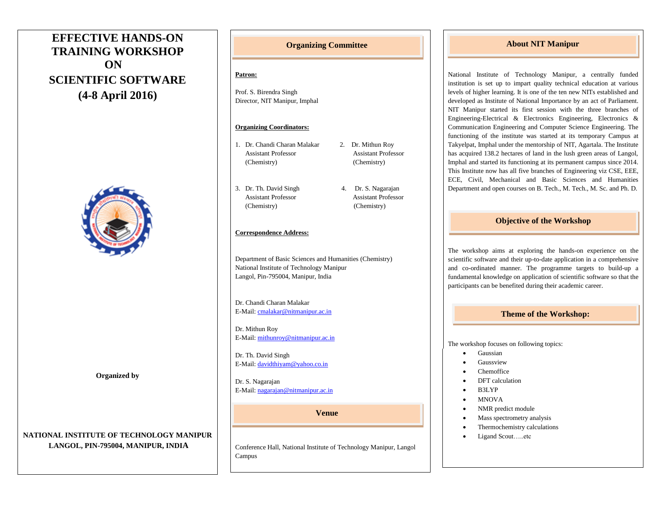# **EFFECTIVE HANDS-ON TRAINING WORKSHOP ON SCIENTIFIC SOFTWARE (4-8 April 2016)**



**Organized by**

# **NATIONAL INSTITUTE OF TECHNOLOGY MANIPUR LANGOL, PIN-795004, MANIPUR, INDIA**

# **Organizing Committee**

#### **Patron:**

Prof. S. Birendra Singh Director, NIT Manipur, Imphal

## **Organizing Coordinators:**

- 1. Dr. Chandi Charan Malakar 2. Dr. Mithun Roy Assistant Professor Assistant Professor (Chemistry) (Chemistry)
- 3. Dr. Th. David Singh 4. Dr. S. Nagarajan Assistant Professor Assistant Professor (Chemistry) (Chemistry)

#### **Correspondence Address:**

Department of Basic Sciences and Humanities (Chemistry) National Institute of Technology Manipur Langol, Pin-795004, Manipur, India

Dr. Chandi Charan Malakar E-Mail[: cmalakar@nitmanipur.ac.in](mailto:cmalakar@nitmanipur.ac.in)

Dr. Mithun Roy E-Mail[: mithunroy@nitmanipur.ac.in](mailto:mithunroy@nitmanipur.ac.in)

Dr. Th. David Singh E-Mail[: davidthiyam@yahoo.co.in](mailto:davidthiyam@yahoo.co.in)

Dr. S. Nagarajan E-Mail[: nagarajan@nitmanipur.ac.in](mailto:nagarajan@nitmanipur.ac.in)

#### **Venue**

Conference Hall, National Institute of Technology Manipur, Langol Campus

# **About NIT Manipur**

National Institute of Technology Manipur, a centrally funded institution is set up to impart quality technical education at various levels of higher learning. It is one of the ten new NITs established and developed as Institute of National Importance by an act of Parliament. NIT Manipur started its first session with the three branches of Engineering-Electrical & Electronics Engineering, Electronics & Communication Engineering and Computer Science Engineering. The functioning of the institute was started at its temporary Campus at Takyelpat, Imphal under the mentorship of NIT, Agartala. The Institute has acquired 138.2 hectares of land in the lush green areas of Langol, Imphal and started its functioning at its permanent campus since 2014. This Institute now has all five branches of Engineering viz CSE, EEE, ECE, Civil, Mechanical and Basic Sciences and Humanities Department and open courses on B. Tech., M. Tech., M. Sc. and Ph. D.

## **Objective of the Workshop**

The workshop aims at exploring the hands-on experience on the scientific software and their up-to-date application in a comprehensive and co-ordinated manner. The programme targets to build-up a fundamental knowledge on application of scientific software so that the participants can be benefited during their academic career.

### **Theme of the Workshop:**

The workshop focuses on following topics:

- Gaussian
- Gaussview
- Chemoffice
- DFT calculation
- B3LYP
- MNOVA
- NMR predict module
- Mass spectrometry analysis
- Thermochemistry calculations
- Ligand Scout…..etc